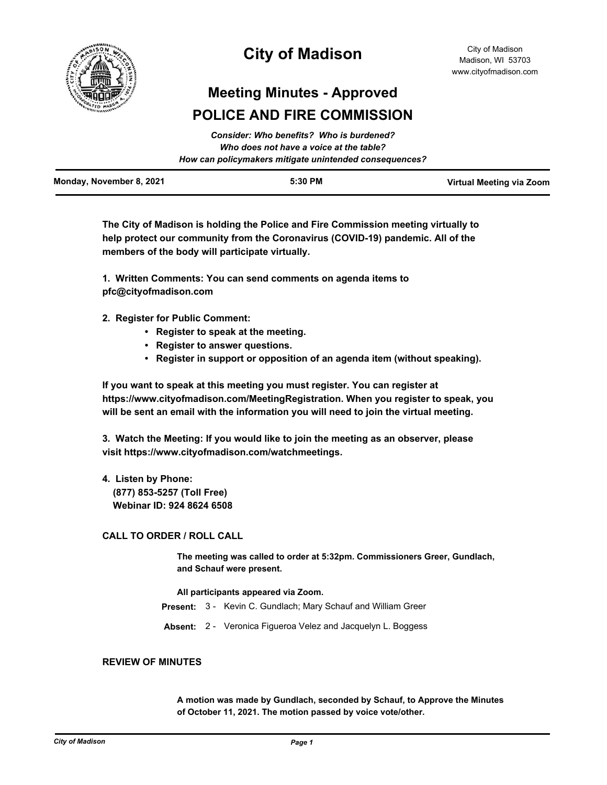

## **City of Madison**

# **Meeting Minutes - Approved POLICE AND FIRE COMMISSION**

| How can policymakers mitigate unintended consequences? | Monday, November 8, 2021 | 5:30 PM                                  | Virtual Meeting via Zoom |
|--------------------------------------------------------|--------------------------|------------------------------------------|--------------------------|
|                                                        |                          | Who does not have a voice at the table?  |                          |
|                                                        |                          | Consider: Who benefits? Who is burdened? |                          |

*Consider: Who benefits? Who is burdened?*

**The City of Madison is holding the Police and Fire Commission meeting virtually to help protect our community from the Coronavirus (COVID-19) pandemic. All of the members of the body will participate virtually.**

**1. Written Comments: You can send comments on agenda items to pfc@cityofmadison.com**

**2. Register for Public Comment:** 

- **Register to speak at the meeting.**
- **Register to answer questions.**
- **Register in support or opposition of an agenda item (without speaking).**

**If you want to speak at this meeting you must register. You can register at https://www.cityofmadison.com/MeetingRegistration. When you register to speak, you will be sent an email with the information you will need to join the virtual meeting.**

**3. Watch the Meeting: If you would like to join the meeting as an observer, please visit https://www.cityofmadison.com/watchmeetings.**

**4. Listen by Phone: (877) 853-5257 (Toll Free) Webinar ID: 924 8624 6508**

## **CALL TO ORDER / ROLL CALL**

**The meeting was called to order at 5:32pm. Commissioners Greer, Gundlach, and Schauf were present.**

#### **All participants appeared via Zoom.**

- **Present:** 3 Kevin C. Gundlach; Mary Schauf and William Greer
- **Absent:** 2 Veronica Figueroa Velez and Jacquelyn L. Boggess

### **REVIEW OF MINUTES**

**A motion was made by Gundlach, seconded by Schauf, to Approve the Minutes of October 11, 2021. The motion passed by voice vote/other.**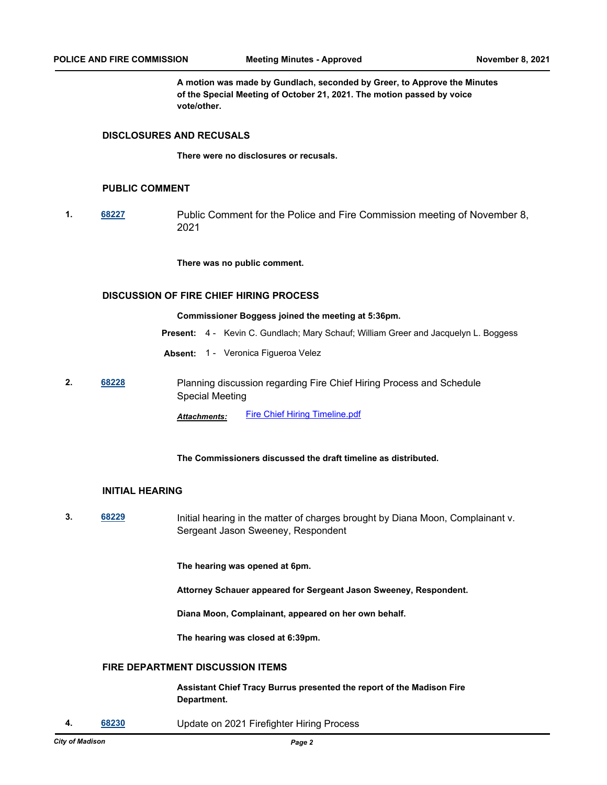**A motion was made by Gundlach, seconded by Greer, to Approve the Minutes of the Special Meeting of October 21, 2021. The motion passed by voice vote/other.**

#### **DISCLOSURES AND RECUSALS**

**There were no disclosures or recusals.**

#### **PUBLIC COMMENT**

**1. [68227](http://madison.legistar.com/gateway.aspx?m=l&id=/matter.aspx?key=79952)** Public Comment for the Police and Fire Commission meeting of November 8, 2021

**There was no public comment.**

#### **DISCUSSION OF FIRE CHIEF HIRING PROCESS**

**Commissioner Boggess joined the meeting at 5:36pm.**

- **Present:** 4 Kevin C. Gundlach; Mary Schauf; William Greer and Jacquelyn L. Boggess
- **Absent:** 1 Veronica Figueroa Velez
- **2. [68228](http://madison.legistar.com/gateway.aspx?m=l&id=/matter.aspx?key=79953)** Planning discussion regarding Fire Chief Hiring Process and Schedule Special Meeting

*Attachments:* [Fire Chief Hiring Timeline.pdf](http://madison.legistar.com/gateway.aspx?M=F&ID=75e558fc-0957-4410-b5fa-ad518f0f22ba.pdf)

#### **The Commissioners discussed the draft timeline as distributed.**

#### **INITIAL HEARING**

**3. [68229](http://madison.legistar.com/gateway.aspx?m=l&id=/matter.aspx?key=79954)** Initial hearing in the matter of charges brought by Diana Moon, Complainant v. Sergeant Jason Sweeney, Respondent

**The hearing was opened at 6pm.** 

**Attorney Schauer appeared for Sergeant Jason Sweeney, Respondent.**

**Diana Moon, Complainant, appeared on her own behalf.**

**The hearing was closed at 6:39pm.**

#### **FIRE DEPARTMENT DISCUSSION ITEMS**

**Assistant Chief Tracy Burrus presented the report of the Madison Fire Department.**

**4. [68230](http://madison.legistar.com/gateway.aspx?m=l&id=/matter.aspx?key=79955)** Update on 2021 Firefighter Hiring Process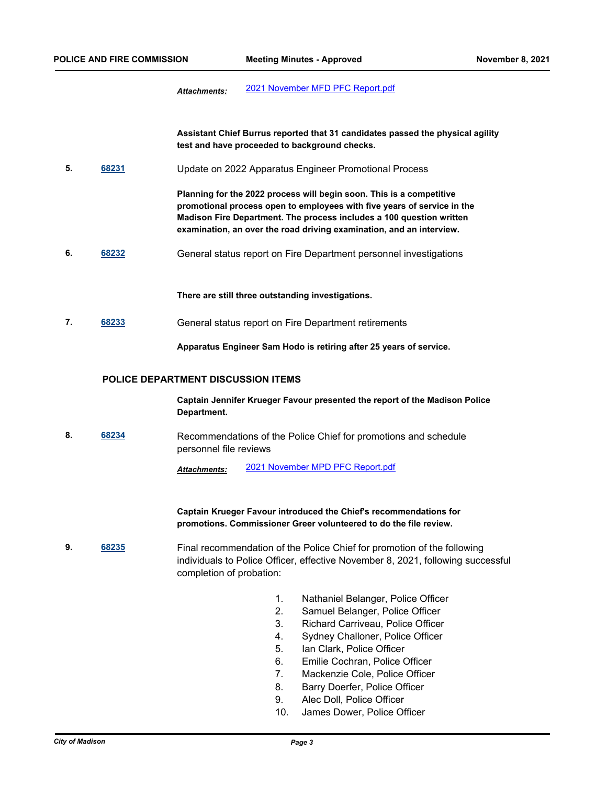*Attachments:* [2021 November MFD PFC Report.pdf](http://madison.legistar.com/gateway.aspx?M=F&ID=08de1b3d-0c13-4657-8d43-9f015e4bfe36.pdf)

**Assistant Chief Burrus reported that 31 candidates passed the physical agility test and have proceeded to background checks.**

**5. [68231](http://madison.legistar.com/gateway.aspx?m=l&id=/matter.aspx?key=79956)** Update on 2022 Apparatus Engineer Promotional Process

**Planning for the 2022 process will begin soon. This is a competitive promotional process open to employees with five years of service in the Madison Fire Department. The process includes a 100 question written examination, an over the road driving examination, and an interview.**

**6. [68232](http://madison.legistar.com/gateway.aspx?m=l&id=/matter.aspx?key=79957)** General status report on Fire Department personnel investigations

**There are still three outstanding investigations.**

**7. [68233](http://madison.legistar.com/gateway.aspx?m=l&id=/matter.aspx?key=79958)** General status report on Fire Department retirements

**Apparatus Engineer Sam Hodo is retiring after 25 years of service.**

#### **POLICE DEPARTMENT DISCUSSION ITEMS**

**Captain Jennifer Krueger Favour presented the report of the Madison Police Department.**

**8. [68234](http://madison.legistar.com/gateway.aspx?m=l&id=/matter.aspx?key=79959)** Recommendations of the Police Chief for promotions and schedule personnel file reviews

*Attachments:* [2021 November MPD PFC Report.pdf](http://madison.legistar.com/gateway.aspx?M=F&ID=6d77c0fb-ccec-4a9f-9f43-83992454da72.pdf)

**Captain Krueger Favour introduced the Chief's recommendations for promotions. Commissioner Greer volunteered to do the file review.**

- **9. [68235](http://madison.legistar.com/gateway.aspx?m=l&id=/matter.aspx?key=79960)** Final recommendation of the Police Chief for promotion of the following individuals to Police Officer, effective November 8, 2021, following successful completion of probation:
	- 1. Nathaniel Belanger, Police Officer
	- 2. Samuel Belanger, Police Officer
	- 3. Richard Carriveau, Police Officer
	- 4. Sydney Challoner, Police Officer
	- 5. Ian Clark, Police Officer
	- 6. Emilie Cochran, Police Officer
	- 7. Mackenzie Cole, Police Officer
	- 8. Barry Doerfer, Police Officer
	- 9. Alec Doll, Police Officer
	- 10. James Dower, Police Officer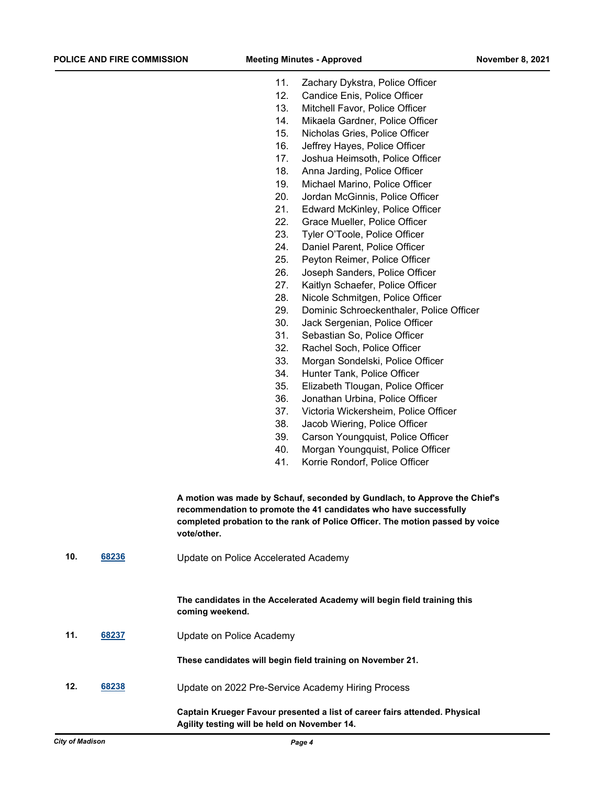- 11. Zachary Dykstra, Police Officer
- 12. Candice Enis, Police Officer
- 13. Mitchell Favor, Police Officer
- 14. Mikaela Gardner, Police Officer
- 15. Nicholas Gries, Police Officer
- 16. Jeffrey Hayes, Police Officer
- 17. Joshua Heimsoth, Police Officer
- 18. Anna Jarding, Police Officer
- 19. Michael Marino, Police Officer
- 20. Jordan McGinnis, Police Officer
- 21. Edward McKinley, Police Officer
- 22. Grace Mueller, Police Officer
- 23. Tyler O'Toole, Police Officer
- 24. Daniel Parent, Police Officer
- 25. Peyton Reimer, Police Officer
- 26. Joseph Sanders, Police Officer
- 27. Kaitlyn Schaefer, Police Officer
- 28. Nicole Schmitgen, Police Officer
- 29. Dominic Schroeckenthaler, Police Officer
- 30. Jack Sergenian, Police Officer
- 31. Sebastian So, Police Officer
- 32. Rachel Soch, Police Officer
- 33. Morgan Sondelski, Police Officer
- 34. Hunter Tank, Police Officer
- 35. Elizabeth Tlougan, Police Officer
- 36. Jonathan Urbina, Police Officer
- 37. Victoria Wickersheim, Police Officer
- 38. Jacob Wiering, Police Officer
- 39. Carson Youngquist, Police Officer
- 40. Morgan Youngquist, Police Officer
- 41. Korrie Rondorf, Police Officer

**A motion was made by Schauf, seconded by Gundlach, to Approve the Chief's recommendation to promote the 41 candidates who have successfully completed probation to the rank of Police Officer. The motion passed by voice vote/other.**

**10. [68236](http://madison.legistar.com/gateway.aspx?m=l&id=/matter.aspx?key=79961)** Update on Police Accelerated Academy

**The candidates in the Accelerated Academy will begin field training this coming weekend.**

**11. [68237](http://madison.legistar.com/gateway.aspx?m=l&id=/matter.aspx?key=79962)** Update on Police Academy

**These candidates will begin field training on November 21.**

**12. [68238](http://madison.legistar.com/gateway.aspx?m=l&id=/matter.aspx?key=79963)** Update on 2022 Pre-Service Academy Hiring Process

**Captain Krueger Favour presented a list of career fairs attended. Physical Agility testing will be held on November 14.**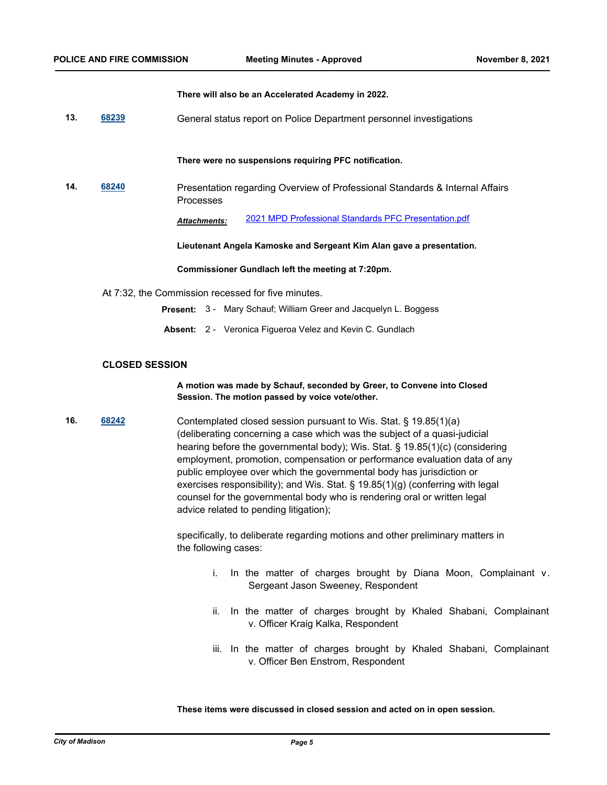**There will also be an Accelerated Academy in 2022.**

**13. [68239](http://madison.legistar.com/gateway.aspx?m=l&id=/matter.aspx?key=79964)** General status report on Police Department personnel investigations

**There were no suspensions requiring PFC notification.**

**14. [68240](http://madison.legistar.com/gateway.aspx?m=l&id=/matter.aspx?key=79965)** Presentation regarding Overview of Professional Standards & Internal Affairs Processes

*Attachments:* [2021 MPD Professional Standards PFC Presentation.pdf](http://madison.legistar.com/gateway.aspx?M=F&ID=ab72baeb-f574-4c0e-a658-de29afa65c16.pdf)

**Lieutenant Angela Kamoske and Sergeant Kim Alan gave a presentation.**

**Commissioner Gundlach left the meeting at 7:20pm.**

- At 7:32, the Commission recessed for five minutes.
	- **Present:** 3 Mary Schauf; William Greer and Jacquelyn L. Boggess
	- **Absent:** 2 Veronica Figueroa Velez and Kevin C. Gundlach

#### **CLOSED SESSION**

#### **A motion was made by Schauf, seconded by Greer, to Convene into Closed Session. The motion passed by voice vote/other.**

**16. [68242](http://madison.legistar.com/gateway.aspx?m=l&id=/matter.aspx?key=79967)** Contemplated closed session pursuant to Wis. Stat. § 19.85(1)(a) (deliberating concerning a case which was the subject of a quasi-judicial hearing before the governmental body); Wis. Stat. § 19.85(1)(c) (considering employment, promotion, compensation or performance evaluation data of any public employee over which the governmental body has jurisdiction or exercises responsibility); and Wis. Stat. § 19.85(1)(g) (conferring with legal counsel for the governmental body who is rendering oral or written legal advice related to pending litigation);

> specifically, to deliberate regarding motions and other preliminary matters in the following cases:

- i. In the matter of charges brought by Diana Moon, Complainant v. Sergeant Jason Sweeney, Respondent
- ii. In the matter of charges brought by Khaled Shabani, Complainant v. Officer Kraig Kalka, Respondent
- iii. In the matter of charges brought by Khaled Shabani, Complainant v. Officer Ben Enstrom, Respondent

**These items were discussed in closed session and acted on in open session.**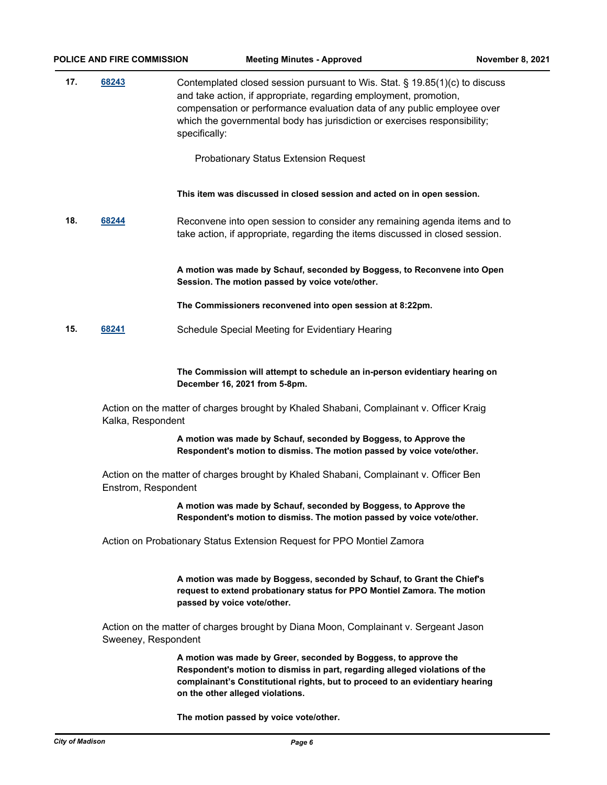| 17. | 68243 | Contemplated closed session pursuant to Wis. Stat. § 19.85(1)(c) to discuss<br>and take action, if appropriate, regarding employment, promotion,<br>compensation or performance evaluation data of any public employee over<br>which the governmental body has jurisdiction or exercises responsibility;<br>specifically: |  |
|-----|-------|---------------------------------------------------------------------------------------------------------------------------------------------------------------------------------------------------------------------------------------------------------------------------------------------------------------------------|--|
|     |       | <b>Probationary Status Extension Request</b>                                                                                                                                                                                                                                                                              |  |
|     |       | This item was discussed in closed session and acted on in open session.                                                                                                                                                                                                                                                   |  |
| 18. | 68244 | Reconvene into open session to consider any remaining agenda items and to<br>take action, if appropriate, regarding the items discussed in closed session.                                                                                                                                                                |  |
|     |       | A motion was made by Schauf, seconded by Boggess, to Reconvene into Open<br>Session. The motion passed by voice vote/other.                                                                                                                                                                                               |  |
|     |       | The Commissioners reconvened into open session at 8:22pm.                                                                                                                                                                                                                                                                 |  |

**15. [68241](http://madison.legistar.com/gateway.aspx?m=l&id=/matter.aspx?key=79966)** Schedule Special Meeting for Evidentiary Hearing

**The Commission will attempt to schedule an in-person evidentiary hearing on December 16, 2021 from 5-8pm.**

Action on the matter of charges brought by Khaled Shabani, Complainant v. Officer Kraig Kalka, Respondent

> **A motion was made by Schauf, seconded by Boggess, to Approve the Respondent's motion to dismiss. The motion passed by voice vote/other.**

Action on the matter of charges brought by Khaled Shabani, Complainant v. Officer Ben Enstrom, Respondent

> **A motion was made by Schauf, seconded by Boggess, to Approve the Respondent's motion to dismiss. The motion passed by voice vote/other.**

Action on Probationary Status Extension Request for PPO Montiel Zamora

**A motion was made by Boggess, seconded by Schauf, to Grant the Chief's request to extend probationary status for PPO Montiel Zamora. The motion passed by voice vote/other.**

Action on the matter of charges brought by Diana Moon, Complainant v. Sergeant Jason Sweeney, Respondent

> **A motion was made by Greer, seconded by Boggess, to approve the Respondent's motion to dismiss in part, regarding alleged violations of the complainant's Constitutional rights, but to proceed to an evidentiary hearing on the other alleged violations.**

**The motion passed by voice vote/other.**